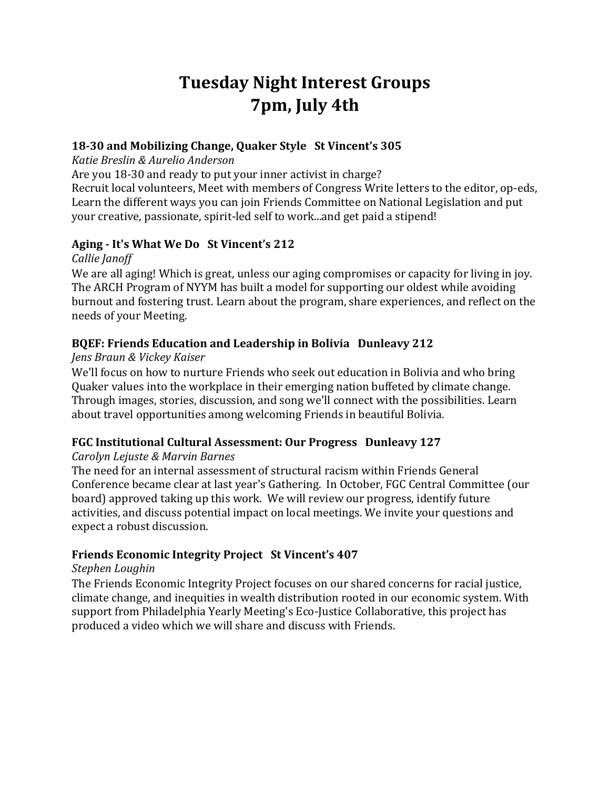# **Tuesday Night Interest Groups 7pm, July 4th**

### **18-30 and Mobilizing Change, Quaker Style St Vincent's 305**

*Katie Breslin & Aurelio Anderson*

Are you 18-30 and ready to put your inner activist in charge?

Recruit local volunteers, Meet with members of Congress Write letters to the editor, op-eds, Learn the different ways you can join Friends Committee on National Legislation and put your creative, passionate, spirit-led self to work...and get paid a stipend!

### **Aging - It's What We Do St Vincent's 212**

*Callie Janoff*

We are all aging! Which is great, unless our aging compromises or capacity for living in joy. The ARCH Program of NYYM has built a model for supporting our oldest while avoiding burnout and fostering trust. Learn about the program, share experiences, and reflect on the needs of your Meeting.

# **BQEF: Friends Education and Leadership in Bolivia Dunleavy 212**

*Jens Braun & Vickey Kaiser*

We'll focus on how to nurture Friends who seek out education in Bolivia and who bring Quaker values into the workplace in their emerging nation buffeted by climate change. Through images, stories, discussion, and song we'll connect with the possibilities. Learn about travel opportunities among welcoming Friends in beautiful Bolivia.

#### **FGC Institutional Cultural Assessment: Our Progress Dunleavy 127**

#### *Carolyn Lejuste & Marvin Barnes*

The need for an internal assessment of structural racism within Friends General Conference became clear at last year's Gathering. In October, FGC Central Committee (our board) approved taking up this work. We will review our progress, identify future activities, and discuss potential impact on local meetings. We invite your questions and expect a robust discussion.

# **Friends Economic Integrity Project St Vincent's 407**

#### *Stephen Loughin*

The Friends Economic Integrity Project focuses on our shared concerns for racial justice, climate change, and inequities in wealth distribution rooted in our economic system. With support from Philadelphia Yearly Meeting's Eco-Justice Collaborative, this project has produced a video which we will share and discuss with Friends.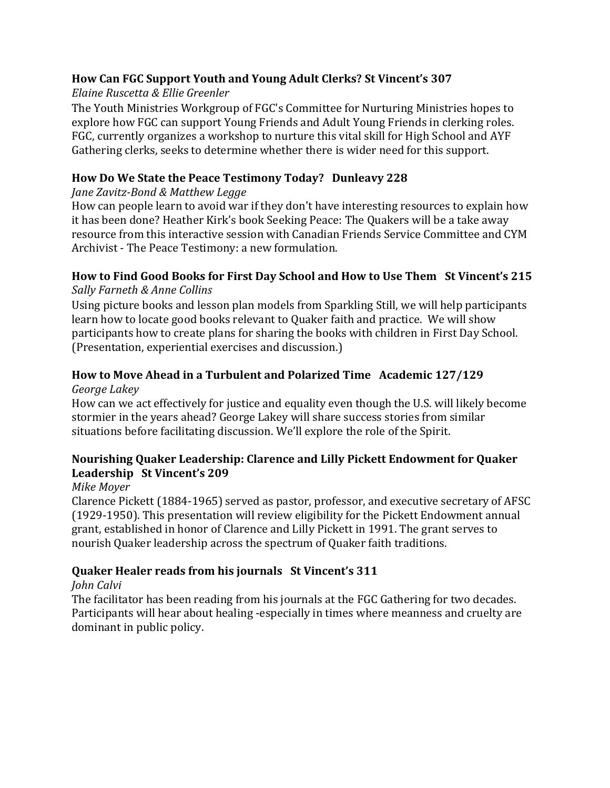# **How Can FGC Support Youth and Young Adult Clerks? St Vincent's 307**

*Elaine Ruscetta & Ellie Greenler*

The Youth Ministries Workgroup of FGC's Committee for Nurturing Ministries hopes to explore how FGC can support Young Friends and Adult Young Friends in clerking roles. FGC, currently organizes a workshop to nurture this vital skill for High School and AYF Gathering clerks, seeks to determine whether there is wider need for this support.

# **How Do We State the Peace Testimony Today? Dunleavy 228**

*Jane Zavitz-Bond & Matthew Legge*

How can people learn to avoid war if they don't have interesting resources to explain how it has been done? Heather Kirk's book Seeking Peace: The Quakers will be a take away resource from this interactive session with Canadian Friends Service Committee and CYM Archivist - The Peace Testimony: a new formulation.

### **How to Find Good Books for First Day School and How to Use Them St Vincent's 215** *Sally Farneth & Anne Collins*

Using picture books and lesson plan models from Sparkling Still, we will help participants learn how to locate good books relevant to Quaker faith and practice. We will show participants how to create plans for sharing the books with children in First Day School. (Presentation, experiential exercises and discussion.)

# **How to Move Ahead in a Turbulent and Polarized Time Academic 127/129**

*George Lakey* 

How can we act effectively for justice and equality even though the U.S. will likely become stormier in the years ahead? George Lakey will share success stories from similar situations before facilitating discussion. We'll explore the role of the Spirit.

# **Nourishing Quaker Leadership: Clarence and Lilly Pickett Endowment for Quaker Leadership St Vincent's 209**

# *Mike Moyer*

Clarence Pickett (1884-1965) served as pastor, professor, and executive secretary of AFSC (1929-1950). This presentation will review eligibility for the Pickett Endowment annual grant, established in honor of Clarence and Lilly Pickett in 1991. The grant serves to nourish Quaker leadership across the spectrum of Quaker faith traditions.

# **Quaker Healer reads from his journals St Vincent's 311**

# *John Calvi*

The facilitator has been reading from his journals at the FGC Gathering for two decades. Participants will hear about healing -especially in times where meanness and cruelty are dominant in public policy.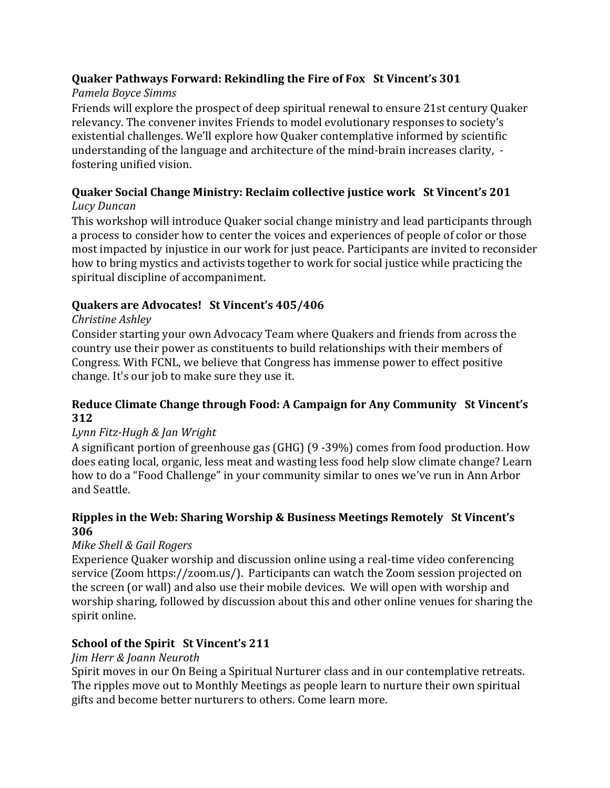# **Quaker Pathways Forward: Rekindling the Fire of Fox St Vincent's 301**

# *Pamela Boyce Simms*

Friends will explore the prospect of deep spiritual renewal to ensure 21st century Quaker relevancy. The convener invites Friends to model evolutionary responses to society's existential challenges. We'll explore how Quaker contemplative informed by scientific understanding of the language and architecture of the mind-brain increases clarity, fostering unified vision.

# **Quaker Social Change Ministry: Reclaim collective justice work St Vincent's 201**

# *Lucy Duncan*

This workshop will introduce Quaker social change ministry and lead participants through a process to consider how to center the voices and experiences of people of color or those most impacted by injustice in our work for just peace. Participants are invited to reconsider how to bring mystics and activists together to work for social justice while practicing the spiritual discipline of accompaniment.

# **Quakers are Advocates! St Vincent's 405/406**

# *Christine Ashley*

Consider starting your own Advocacy Team where Quakers and friends from across the country use their power as constituents to build relationships with their members of Congress. With FCNL, we believe that Congress has immense power to effect positive change. It's our job to make sure they use it.

### **Reduce Climate Change through Food: A Campaign for Any Community St Vincent's 312**

# *Lynn Fitz-Hugh & Jan Wright*

A significant portion of greenhouse gas (GHG) (9 -39%) comes from food production. How does eating local, organic, less meat and wasting less food help slow climate change? Learn how to do a "Food Challenge" in your community similar to ones we've run in Ann Arbor and Seattle.

### **Ripples in the Web: Sharing Worship & Business Meetings Remotely St Vincent's 306**

# *Mike Shell & Gail Rogers*

Experience Quaker worship and discussion online using a real-time video conferencing service (Zoom https://zoom.us/). Participants can watch the Zoom session projected on the screen (or wall) and also use their mobile devices. We will open with worship and worship sharing, followed by discussion about this and other online venues for sharing the spirit online.

# **School of the Spirit St Vincent's 211**

# *Jim Herr & Joann Neuroth*

Spirit moves in our On Being a Spiritual Nurturer class and in our contemplative retreats. The ripples move out to Monthly Meetings as people learn to nurture their own spiritual gifts and become better nurturers to others. Come learn more.